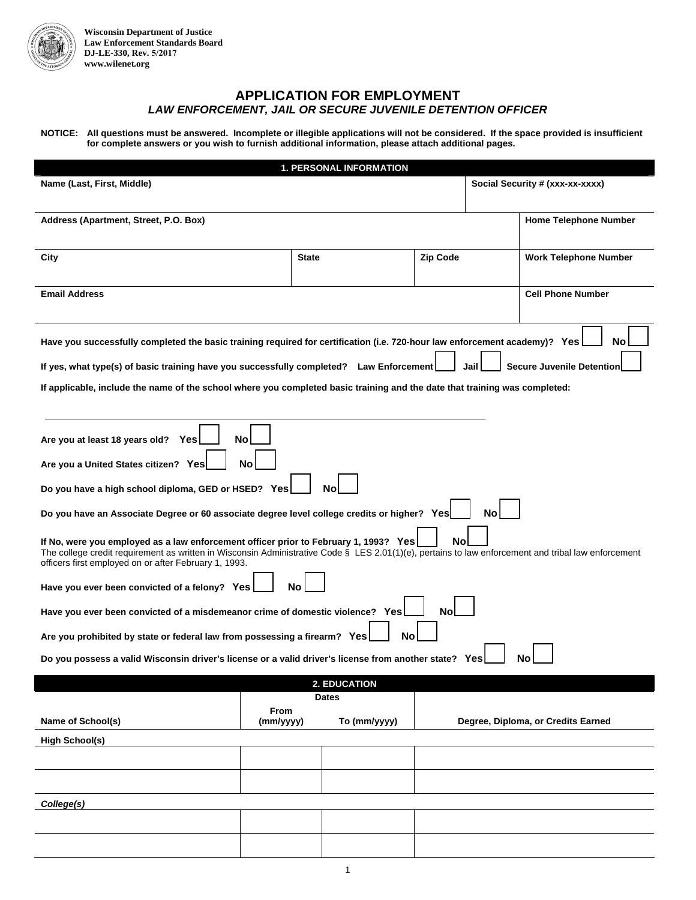

I

 $\overline{\phantom{a}}$ 

## **APPLICATION FOR EMPLOYMENT**  *LAW ENFORCEMENT, JAIL OR SECURE JUVENILE DETENTION OFFICER*

**NOTICE: All questions must be answered. Incomplete or illegible applications will not be considered. If the space provided is insufficient for complete answers or you wish to furnish additional information, please attach additional pages.** 

| <b>1. PERSONAL INFORMATION</b>                                                                                                                                                                                                                                                                             |                                 |              |                 |                                    |                                  |  |  |  |  |
|------------------------------------------------------------------------------------------------------------------------------------------------------------------------------------------------------------------------------------------------------------------------------------------------------------|---------------------------------|--------------|-----------------|------------------------------------|----------------------------------|--|--|--|--|
| Name (Last, First, Middle)                                                                                                                                                                                                                                                                                 | Social Security # (xxx-xx-xxxx) |              |                 |                                    |                                  |  |  |  |  |
|                                                                                                                                                                                                                                                                                                            |                                 |              |                 |                                    |                                  |  |  |  |  |
| Address (Apartment, Street, P.O. Box)                                                                                                                                                                                                                                                                      |                                 |              |                 |                                    | <b>Home Telephone Number</b>     |  |  |  |  |
|                                                                                                                                                                                                                                                                                                            |                                 |              |                 |                                    |                                  |  |  |  |  |
| City                                                                                                                                                                                                                                                                                                       | <b>State</b>                    |              | <b>Zip Code</b> |                                    | <b>Work Telephone Number</b>     |  |  |  |  |
|                                                                                                                                                                                                                                                                                                            |                                 |              |                 |                                    |                                  |  |  |  |  |
| <b>Email Address</b>                                                                                                                                                                                                                                                                                       |                                 |              |                 |                                    | <b>Cell Phone Number</b>         |  |  |  |  |
|                                                                                                                                                                                                                                                                                                            |                                 |              |                 |                                    |                                  |  |  |  |  |
|                                                                                                                                                                                                                                                                                                            |                                 |              |                 |                                    |                                  |  |  |  |  |
| Have you successfully completed the basic training required for certification (i.e. 720-hour law enforcement academy)? Yes                                                                                                                                                                                 |                                 |              |                 |                                    |                                  |  |  |  |  |
|                                                                                                                                                                                                                                                                                                            |                                 |              |                 |                                    |                                  |  |  |  |  |
| If yes, what type(s) of basic training have you successfully completed? Law Enforcement                                                                                                                                                                                                                    |                                 |              |                 | Jail                               | <b>Secure Juvenile Detentior</b> |  |  |  |  |
| If applicable, include the name of the school where you completed basic training and the date that training was completed:                                                                                                                                                                                 |                                 |              |                 |                                    |                                  |  |  |  |  |
|                                                                                                                                                                                                                                                                                                            |                                 |              |                 |                                    |                                  |  |  |  |  |
|                                                                                                                                                                                                                                                                                                            |                                 |              |                 |                                    |                                  |  |  |  |  |
| <b>No</b><br>Are you at least 18 years old?<br>Yes                                                                                                                                                                                                                                                         |                                 |              |                 |                                    |                                  |  |  |  |  |
| Are you a United States citizen? Yes<br>No                                                                                                                                                                                                                                                                 |                                 |              |                 |                                    |                                  |  |  |  |  |
| Do you have a high school diploma, GED or HSED? Yes                                                                                                                                                                                                                                                        |                                 |              |                 |                                    |                                  |  |  |  |  |
| Do you have an Associate Degree or 60 associate degree level college credits or higher? Yes                                                                                                                                                                                                                |                                 |              |                 |                                    |                                  |  |  |  |  |
| No<br>If No, were you employed as a law enforcement officer prior to February 1, 1993? Yes<br>The college credit requirement as written in Wisconsin Administrative Code § LES 2.01(1)(e), pertains to law enforcement and tribal law enforcement<br>officers first employed on or after February 1, 1993. |                                 |              |                 |                                    |                                  |  |  |  |  |
| Have you ever been convicted of a felony? Yes<br>Nο                                                                                                                                                                                                                                                        |                                 |              |                 |                                    |                                  |  |  |  |  |
| No<br>Have you ever been convicted of a misdemeanor crime of domestic violence? Yes                                                                                                                                                                                                                        |                                 |              |                 |                                    |                                  |  |  |  |  |
| Are you prohibited by state or federal law from possessing a firearm? Yes<br>No                                                                                                                                                                                                                            |                                 |              |                 |                                    |                                  |  |  |  |  |
| Do you possess a valid Wisconsin driver's license or a valid driver's license from another state? Yes                                                                                                                                                                                                      |                                 |              |                 |                                    |                                  |  |  |  |  |
|                                                                                                                                                                                                                                                                                                            |                                 | 2. EDUCATION |                 |                                    |                                  |  |  |  |  |
|                                                                                                                                                                                                                                                                                                            |                                 | <b>Dates</b> |                 |                                    |                                  |  |  |  |  |
| Name of School(s)                                                                                                                                                                                                                                                                                          | From<br>(mm/yyyy)               | To (mm/yyyy) |                 | Degree, Diploma, or Credits Earned |                                  |  |  |  |  |
| <b>High School(s)</b>                                                                                                                                                                                                                                                                                      |                                 |              |                 |                                    |                                  |  |  |  |  |
|                                                                                                                                                                                                                                                                                                            |                                 |              |                 |                                    |                                  |  |  |  |  |
|                                                                                                                                                                                                                                                                                                            |                                 |              |                 |                                    |                                  |  |  |  |  |
|                                                                                                                                                                                                                                                                                                            |                                 |              |                 |                                    |                                  |  |  |  |  |
| College(s)                                                                                                                                                                                                                                                                                                 |                                 |              |                 |                                    |                                  |  |  |  |  |
|                                                                                                                                                                                                                                                                                                            |                                 |              |                 |                                    |                                  |  |  |  |  |
|                                                                                                                                                                                                                                                                                                            |                                 |              |                 |                                    |                                  |  |  |  |  |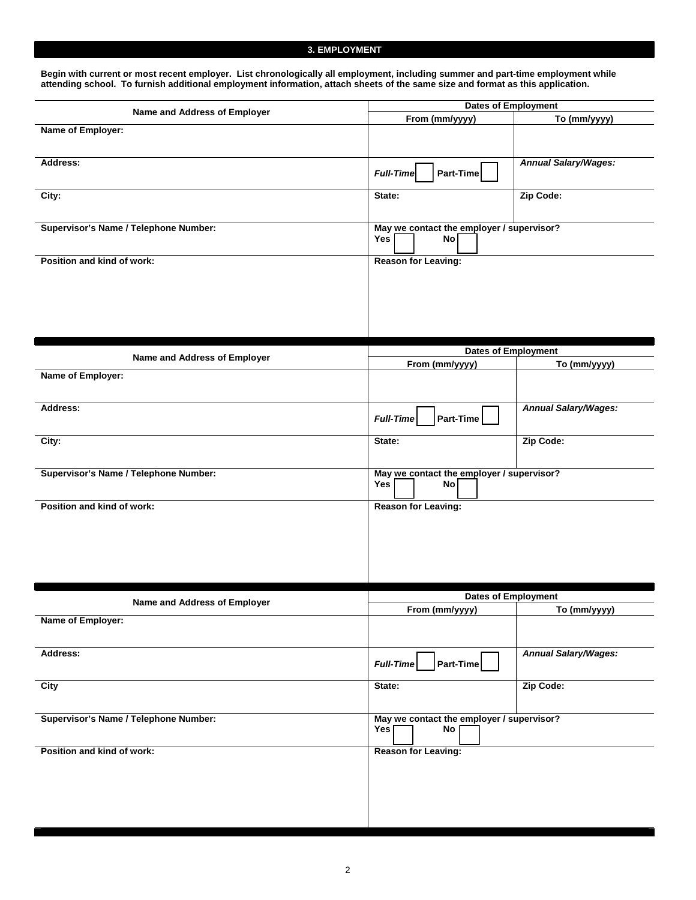### **3. EMPLOYMENT**

**Begin with current or most recent employer. List chronologically all employment, including summer and part-time employment while attending school. To furnish additional employment information, attach sheets of the same size and format as this application.**

|                                                   | <b>Dates of Employment</b>                                    |                             |  |  |
|---------------------------------------------------|---------------------------------------------------------------|-----------------------------|--|--|
| Name and Address of Employer                      | From (mm/yyyy)                                                | To (mm/yyyy)                |  |  |
| Name of Employer:                                 |                                                               |                             |  |  |
| Address:                                          | Part-Time<br><b>Full-Time</b>                                 | <b>Annual Salary/Wages:</b> |  |  |
| City:                                             | State:                                                        | Zip Code:                   |  |  |
| Supervisor's Name / Telephone Number:             | May we contact the employer / supervisor?<br>Yes<br>No        |                             |  |  |
| Position and kind of work:                        | <b>Reason for Leaving:</b>                                    |                             |  |  |
|                                                   | <b>Dates of Employment</b>                                    |                             |  |  |
| Name and Address of Employer                      | From (mm/yyyy)                                                | To (mm/yyyy)                |  |  |
| Name of Employer:                                 |                                                               |                             |  |  |
| Address:                                          | Part-Time<br><b>Full-Time</b>                                 | <b>Annual Salary/Wages:</b> |  |  |
| City:                                             | State:                                                        | Zip Code:                   |  |  |
| Supervisor's Name / Telephone Number:             | May we contact the employer / supervisor?<br>Yes<br><b>No</b> |                             |  |  |
| Position and kind of work:                        | <b>Reason for Leaving:</b>                                    |                             |  |  |
|                                                   | <b>Dates of Employment</b>                                    |                             |  |  |
| Name and Address of Employer<br>Name of Employer: | From (mm/yyyy)                                                | To (mm/yyyy)                |  |  |
| Address:                                          | Part-Time<br>Full-Time                                        | <b>Annual Salary/Wages:</b> |  |  |
| City                                              | State:                                                        | Zip Code:                   |  |  |
| Supervisor's Name / Telephone Number:             | May we contact the employer / supervisor?<br>Yes<br>No        |                             |  |  |
| Position and kind of work:                        | <b>Reason for Leaving:</b>                                    |                             |  |  |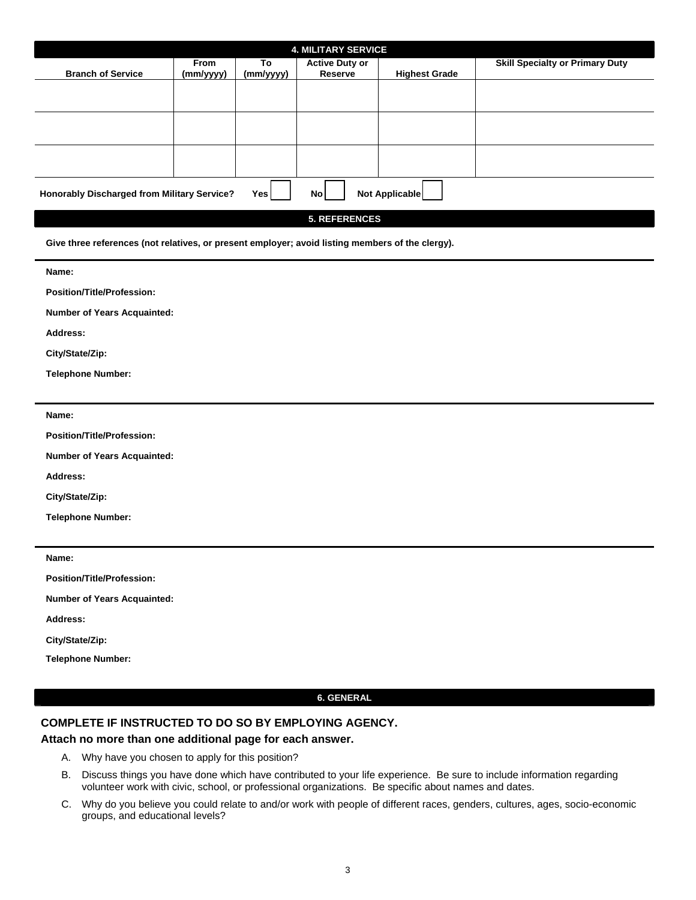| <b>4. MILITARY SERVICE</b>                                                                     |                          |                 |                                  |                      |                                        |  |  |  |
|------------------------------------------------------------------------------------------------|--------------------------|-----------------|----------------------------------|----------------------|----------------------------------------|--|--|--|
| <b>Branch of Service</b>                                                                       | <b>From</b><br>(mm/yyyy) | To<br>(mm/yyyy) | <b>Active Duty or</b><br>Reserve | <b>Highest Grade</b> | <b>Skill Specialty or Primary Duty</b> |  |  |  |
|                                                                                                |                          |                 |                                  |                      |                                        |  |  |  |
|                                                                                                |                          |                 |                                  |                      |                                        |  |  |  |
|                                                                                                |                          |                 |                                  |                      |                                        |  |  |  |
|                                                                                                |                          |                 |                                  |                      |                                        |  |  |  |
|                                                                                                |                          |                 |                                  |                      |                                        |  |  |  |
|                                                                                                |                          |                 |                                  |                      |                                        |  |  |  |
| Yes <sup> </sup><br>Not Applicable<br><b>Honorably Discharged from Military Service?</b><br>No |                          |                 |                                  |                      |                                        |  |  |  |

**5. REFERENCES**

**Give three references (not relatives, or present employer; avoid listing members of the clergy).** 

**Name:** 

**Position/Title/Profession:** 

**Number of Years Acquainted:** 

**Address:** 

**City/State/Zip:** 

**Telephone Number:** 

**Name:** 

**Position/Title/Profession:** 

**Number of Years Acquainted:** 

**Address:** 

**City/State/Zip:** 

**Telephone Number:** 

**Name:** 

**Position/Title/Profession:** 

**Number of Years Acquainted:** 

**Address:** 

**City/State/Zip:** 

**Telephone Number:** 

#### **6. GENERAL**

### **COMPLETE IF INSTRUCTED TO DO SO BY EMPLOYING AGENCY.**

### **Attach no more than one additional page for each answer.**

- A. Why have you chosen to apply for this position?
- B. Discuss things you have done which have contributed to your life experience. Be sure to include information regarding volunteer work with civic, school, or professional organizations. Be specific about names and dates.
- C. Why do you believe you could relate to and/or work with people of different races, genders, cultures, ages, socio-economic groups, and educational levels?